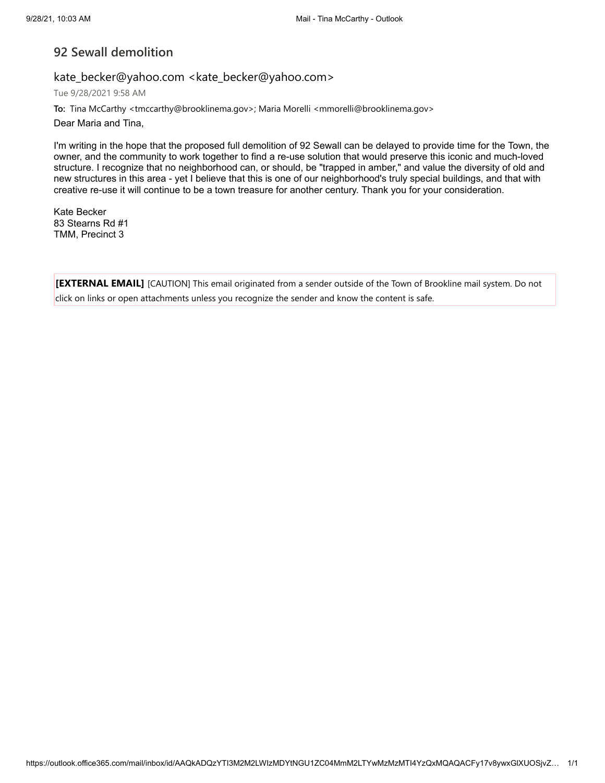## **92 Sewall demolition**

### kate\_becker@yahoo.com <kate\_becker@yahoo.com>

Tue 9/28/2021 9:58 AM

To: Tina McCarthy <tmccarthy@brooklinema.gov>; Maria Morelli <mmorelli@brooklinema.gov>

Dear Maria and Tina,

I'm writing in the hope that the proposed full demolition of 92 Sewall can be delayed to provide time for the Town, the owner, and the community to work together to find a re-use solution that would preserve this iconic and much-loved structure. I recognize that no neighborhood can, or should, be "trapped in amber," and value the diversity of old and new structures in this area - yet I believe that this is one of our neighborhood's truly special buildings, and that with creative re-use it will continue to be a town treasure for another century. Thank you for your consideration.

Kate Becker 83 Stearns Rd #1 TMM, Precinct 3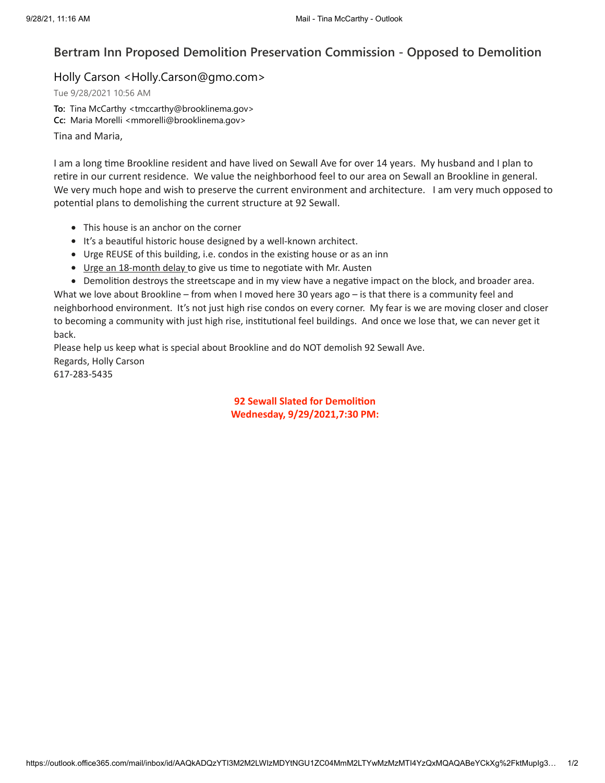# **Bertram Inn Proposed Demolition Preservation Commission - Opposed to Demolition**

### Holly Carson <Holly.Carson@gmo.com>

Tue 9/28/2021 10:56 AM

**To:** Tina McCarthy <tmccarthy@brooklinema.gov> **Cc:** Maria Morelli <mmorelli@brooklinema.gov> Tina and Maria,

I am a long time Brookline resident and have lived on Sewall Ave for over 14 years. My husband and I plan to retire in our current residence. We value the neighborhood feel to our area on Sewall an Brookline in general. We very much hope and wish to preserve the current environment and architecture. I am very much opposed to potential plans to demolishing the current structure at 92 Sewall.

- This house is an anchor on the corner
- It's a beautiful historic house designed by a well-known architect.
- Urge REUSE of this building, i.e. condos in the existing house or as an inn
- Urge an 18-month delay to give us time to negotiate with Mr. Austen

Demolition destroys the streetscape and in my view have a negative impact on the block, and broader area. What we love about Brookline – from when I moved here 30 years ago – is that there is a community feel and neighborhood environment. It's not just high rise condos on every corner. My fear is we are moving closer and closer to becoming a community with just high rise, institutional feel buildings. And once we lose that, we can never get it back.

Please help us keep what is special about Brookline and do NOT demolish 92 Sewall Ave. Regards, Holly Carson 617-283-5435

#### **92 Sewall Slated for Demolition Wednesday, 9/29/2021,7:30 PM:**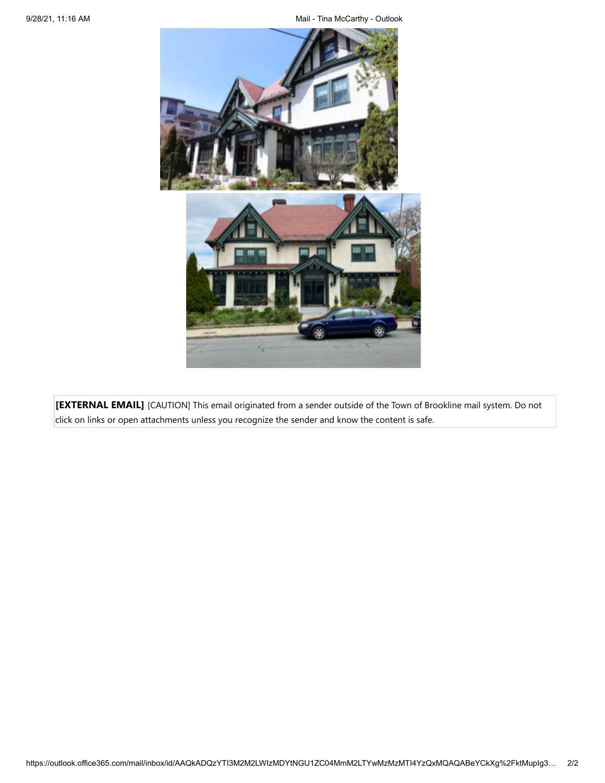9/28/21, 11:16 AM **Mail - Time McCarthy - Outlook** 

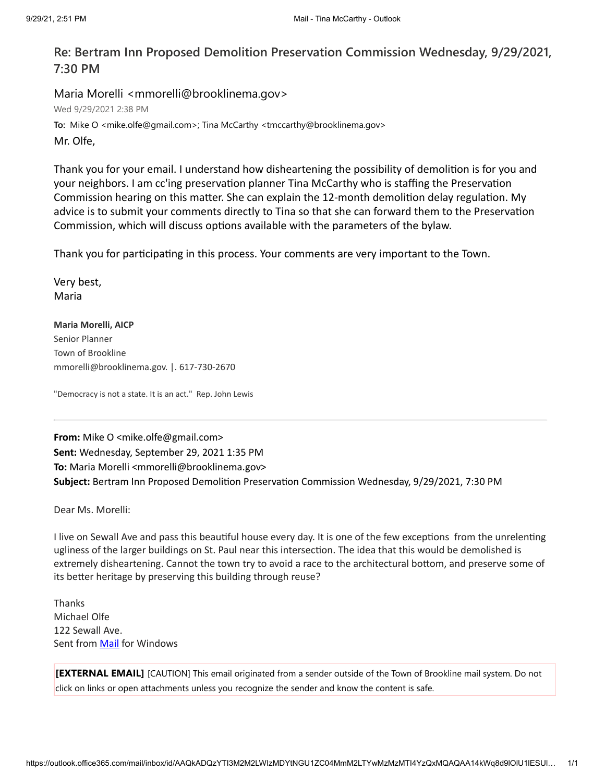# **Re: Bertram Inn Proposed Demolition Preservation Commission Wednesday, 9/29/2021, 7:30 PM**

Maria Morelli <mmorelli@brooklinema.gov> Wed 9/29/2021 2:38 PM **To:** Mike O <mike.olfe@gmail.com>; Tina McCarthy <tmccarthy@brooklinema.gov> Mr. Olfe,

Thank you for your email. I understand how disheartening the possibility of demolition is for you and your neighbors. I am cc'ing preservation planner Tina McCarthy who is staffing the Preservation Commission hearing on this matter. She can explain the 12-month demolition delay regulation. My advice is to submit your comments directly to Tina so that she can forward them to the Preservation Commission, which will discuss options available with the parameters of the bylaw.

Thank you for participating in this process. Your comments are very important to the Town.

Very best, Maria

**Maria Morelli, AICP** Senior Planner Town of Brookline mmorelli@brooklinema.gov. |. 617-730-2670

"Democracy is not a state. It is an act." Rep. John Lewis

**From:** Mike O <mike.olfe@gmail.com> **Sent:** Wednesday, September 29, 2021 1:35 PM To: Maria Morelli <mmorelli@brooklinema.gov> **Subject:** Bertram Inn Proposed Demolition Preservation Commission Wednesday, 9/29/2021, 7:30 PM

Dear Ms. Morelli:

I live on Sewall Ave and pass this beautiful house every day. It is one of the few exceptions from the unrelenting ugliness of the larger buildings on St. Paul near this intersection. The idea that this would be demolished is extremely disheartening. Cannot the town try to avoid a race to the architectural bottom, and preserve some of its better heritage by preserving this building through reuse?

Thanks Michael Olfe 122 Sewall Ave. Sent from **[Mail](https://protect-us.mimecast.com/s/J0yDCqxMZ5u97OPjHZ-oCq?domain=go.microsoft.com)** for Windows